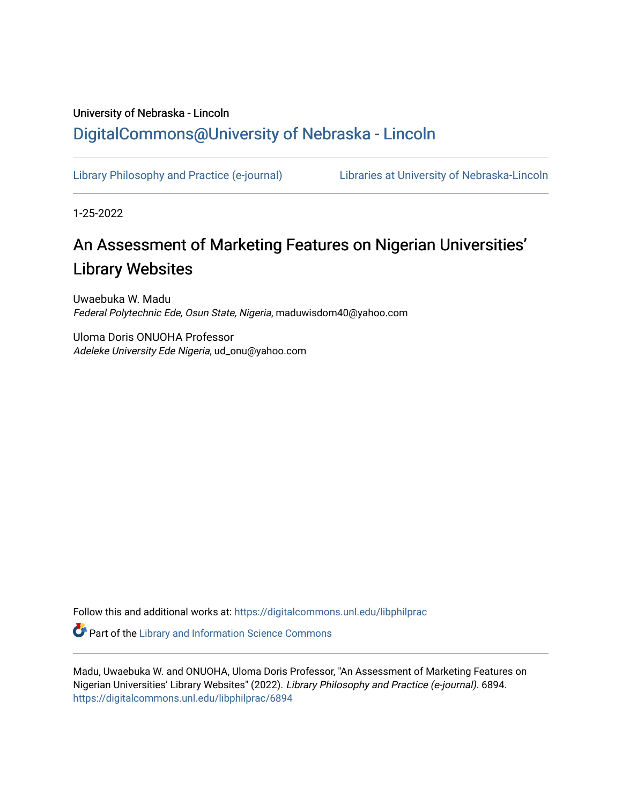# University of Nebraska - Lincoln [DigitalCommons@University of Nebraska - Lincoln](https://digitalcommons.unl.edu/)

[Library Philosophy and Practice \(e-journal\)](https://digitalcommons.unl.edu/libphilprac) [Libraries at University of Nebraska-Lincoln](https://digitalcommons.unl.edu/libraries) 

1-25-2022

# An Assessment of Marketing Features on Nigerian Universities' Library Websites

Uwaebuka W. Madu Federal Polytechnic Ede, Osun State, Nigeria, maduwisdom40@yahoo.com

Uloma Doris ONUOHA Professor Adeleke University Ede Nigeria, ud\_onu@yahoo.com

Follow this and additional works at: [https://digitalcommons.unl.edu/libphilprac](https://digitalcommons.unl.edu/libphilprac?utm_source=digitalcommons.unl.edu%2Flibphilprac%2F6894&utm_medium=PDF&utm_campaign=PDFCoverPages) 

**C** Part of the Library and Information Science Commons

Madu, Uwaebuka W. and ONUOHA, Uloma Doris Professor, "An Assessment of Marketing Features on Nigerian Universities' Library Websites" (2022). Library Philosophy and Practice (e-journal). 6894. [https://digitalcommons.unl.edu/libphilprac/6894](https://digitalcommons.unl.edu/libphilprac/6894?utm_source=digitalcommons.unl.edu%2Flibphilprac%2F6894&utm_medium=PDF&utm_campaign=PDFCoverPages)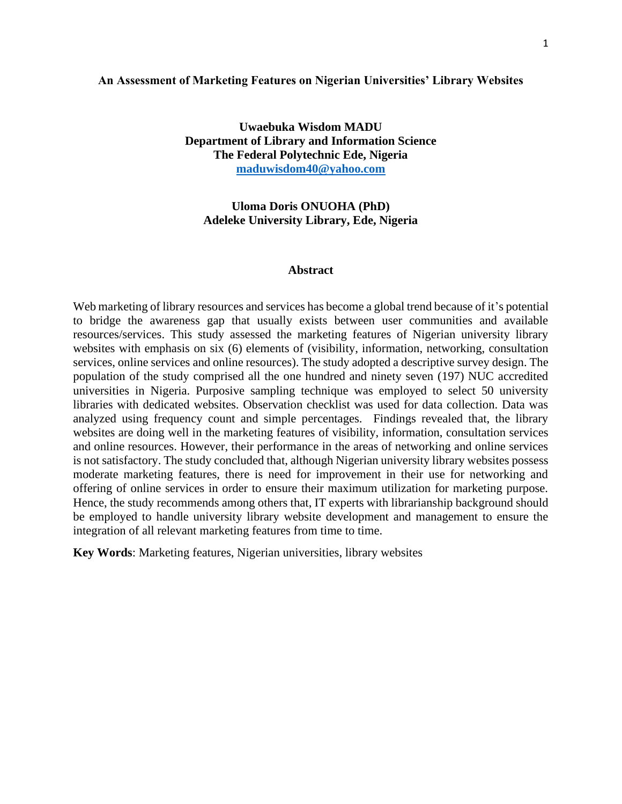#### **An Assessment of Marketing Features on Nigerian Universities' Library Websites**

**Uwaebuka Wisdom MADU Department of Library and Information Science The Federal Polytechnic Ede, Nigeria [maduwisdom40@yahoo.com](mailto:maduwisdom40@yahoo.com)**

# **Uloma Doris ONUOHA (PhD) Adeleke University Library, Ede, Nigeria**

#### **Abstract**

Web marketing of library resources and services has become a global trend because of it's potential to bridge the awareness gap that usually exists between user communities and available resources/services. This study assessed the marketing features of Nigerian university library websites with emphasis on six (6) elements of (visibility, information, networking, consultation services, online services and online resources). The study adopted a descriptive survey design. The population of the study comprised all the one hundred and ninety seven (197) NUC accredited universities in Nigeria. Purposive sampling technique was employed to select 50 university libraries with dedicated websites. Observation checklist was used for data collection. Data was analyzed using frequency count and simple percentages. Findings revealed that, the library websites are doing well in the marketing features of visibility, information, consultation services and online resources. However, their performance in the areas of networking and online services is not satisfactory. The study concluded that, although Nigerian university library websites possess moderate marketing features, there is need for improvement in their use for networking and offering of online services in order to ensure their maximum utilization for marketing purpose. Hence, the study recommends among others that, IT experts with librarianship background should be employed to handle university library website development and management to ensure the integration of all relevant marketing features from time to time.

**Key Words**: Marketing features, Nigerian universities, library websites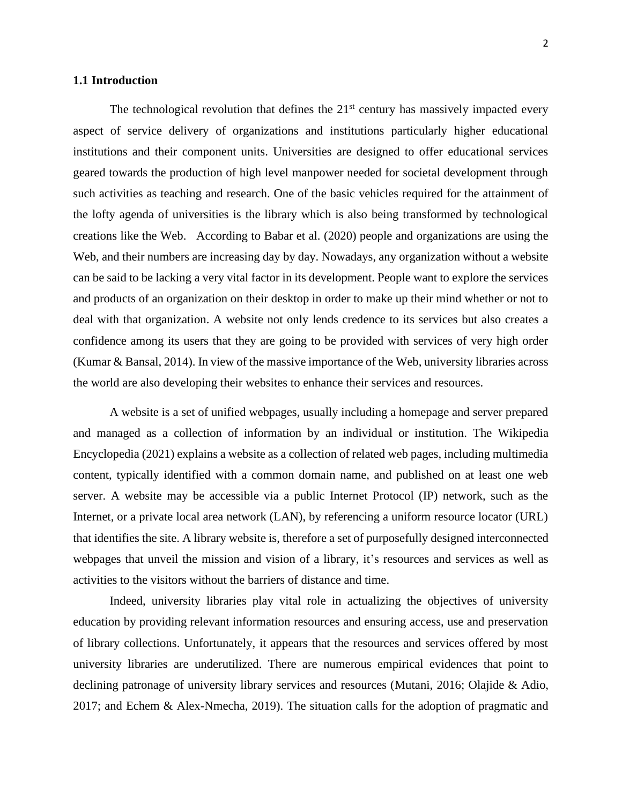# **1.1 Introduction**

The technological revolution that defines the  $21<sup>st</sup>$  century has massively impacted every aspect of service delivery of organizations and institutions particularly higher educational institutions and their component units. Universities are designed to offer educational services geared towards the production of high level manpower needed for societal development through such activities as teaching and research. One of the basic vehicles required for the attainment of the lofty agenda of universities is the library which is also being transformed by technological creations like the Web. According to Babar et al. (2020) people and organizations are using the Web, and their numbers are increasing day by day. Nowadays, any organization without a website can be said to be lacking a very vital factor in its development. People want to explore the services and products of an organization on their desktop in order to make up their mind whether or not to deal with that organization. A website not only lends credence to its services but also creates a confidence among its users that they are going to be provided with services of very high order (Kumar & Bansal, 2014). In view of the massive importance of the Web, university libraries across the world are also developing their websites to enhance their services and resources.

A website is a set of unified webpages, usually including a homepage and server prepared and managed as a collection of information by an individual or institution. The Wikipedia Encyclopedia (2021) explains a website as a collection of related web pages, including multimedia content, typically identified with a common domain name, and published on at least one web server. A website may be accessible via a public Internet Protocol (IP) network, such as the Internet, or a private local area network (LAN), by referencing a uniform resource locator (URL) that identifies the site. A library website is, therefore a set of purposefully designed interconnected webpages that unveil the mission and vision of a library, it's resources and services as well as activities to the visitors without the barriers of distance and time.

Indeed, university libraries play vital role in actualizing the objectives of university education by providing relevant information resources and ensuring access, use and preservation of library collections. Unfortunately, it appears that the resources and services offered by most university libraries are underutilized. There are numerous empirical evidences that point to declining patronage of university library services and resources (Mutani, 2016; Olajide & Adio, 2017; and Echem & Alex-Nmecha, 2019). The situation calls for the adoption of pragmatic and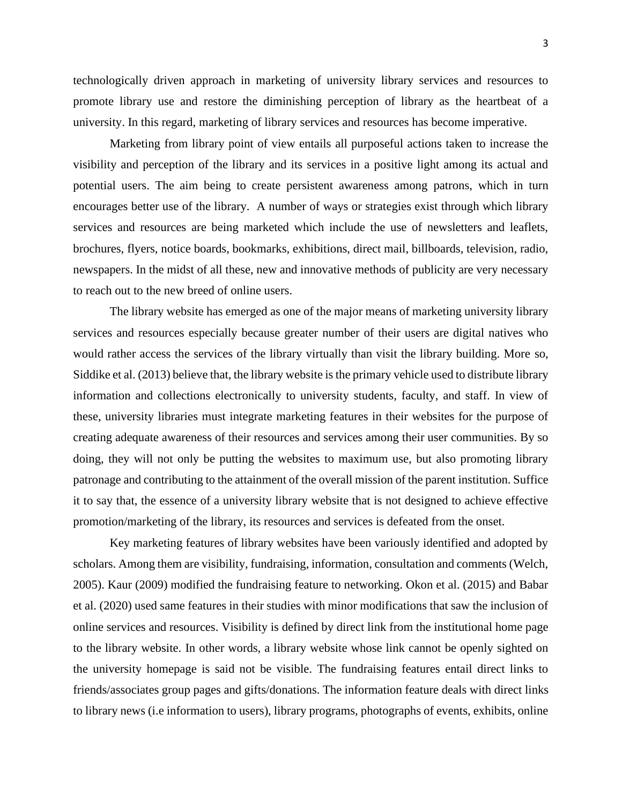technologically driven approach in marketing of university library services and resources to promote library use and restore the diminishing perception of library as the heartbeat of a university. In this regard, marketing of library services and resources has become imperative.

Marketing from library point of view entails all purposeful actions taken to increase the visibility and perception of the library and its services in a positive light among its actual and potential users. The aim being to create persistent awareness among patrons, which in turn encourages better use of the library. A number of ways or strategies exist through which library services and resources are being marketed which include the use of newsletters and leaflets, brochures, flyers, notice boards, bookmarks, exhibitions, direct mail, billboards, television, radio, newspapers. In the midst of all these, new and innovative methods of publicity are very necessary to reach out to the new breed of online users.

The library website has emerged as one of the major means of marketing university library services and resources especially because greater number of their users are digital natives who would rather access the services of the library virtually than visit the library building. More so, Siddike et al. (2013) believe that, the library website is the primary vehicle used to distribute library information and collections electronically to university students, faculty, and staff. In view of these, university libraries must integrate marketing features in their websites for the purpose of creating adequate awareness of their resources and services among their user communities. By so doing, they will not only be putting the websites to maximum use, but also promoting library patronage and contributing to the attainment of the overall mission of the parent institution. Suffice it to say that, the essence of a university library website that is not designed to achieve effective promotion/marketing of the library, its resources and services is defeated from the onset.

Key marketing features of library websites have been variously identified and adopted by scholars. Among them are visibility, fundraising, information, consultation and comments (Welch, 2005). Kaur (2009) modified the fundraising feature to networking. Okon et al. (2015) and Babar et al. (2020) used same features in their studies with minor modifications that saw the inclusion of online services and resources. Visibility is defined by direct link from the institutional home page to the library website. In other words, a library website whose link cannot be openly sighted on the university homepage is said not be visible. The fundraising features entail direct links to friends/associates group pages and gifts/donations. The information feature deals with direct links to library news (i.e information to users), library programs, photographs of events, exhibits, online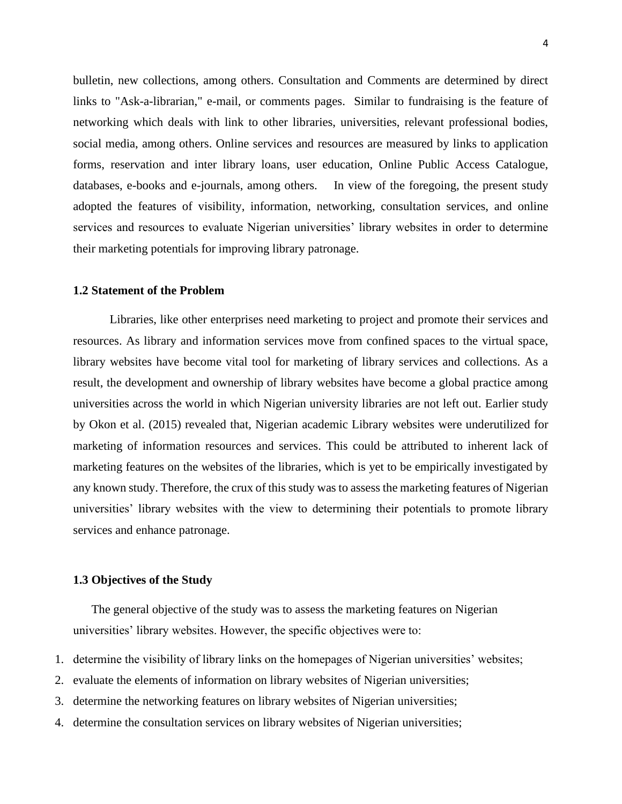bulletin, new collections, among others. Consultation and Comments are determined by direct links to "Ask-a-librarian," e-mail, or comments pages. Similar to fundraising is the feature of networking which deals with link to other libraries, universities, relevant professional bodies, social media, among others. Online services and resources are measured by links to application forms, reservation and inter library loans, user education, Online Public Access Catalogue, databases, e-books and e-journals, among others. In view of the foregoing, the present study adopted the features of visibility, information, networking, consultation services, and online services and resources to evaluate Nigerian universities' library websites in order to determine their marketing potentials for improving library patronage.

# **1.2 Statement of the Problem**

Libraries, like other enterprises need marketing to project and promote their services and resources. As library and information services move from confined spaces to the virtual space, library websites have become vital tool for marketing of library services and collections. As a result, the development and ownership of library websites have become a global practice among universities across the world in which Nigerian university libraries are not left out. Earlier study by Okon et al. (2015) revealed that, Nigerian academic Library websites were underutilized for marketing of information resources and services. This could be attributed to inherent lack of marketing features on the websites of the libraries, which is yet to be empirically investigated by any known study. Therefore, the crux of this study was to assess the marketing features of Nigerian universities' library websites with the view to determining their potentials to promote library services and enhance patronage.

# **1.3 Objectives of the Study**

The general objective of the study was to assess the marketing features on Nigerian universities' library websites. However, the specific objectives were to:

- 1. determine the visibility of library links on the homepages of Nigerian universities' websites;
- 2. evaluate the elements of information on library websites of Nigerian universities;
- 3. determine the networking features on library websites of Nigerian universities;
- 4. determine the consultation services on library websites of Nigerian universities;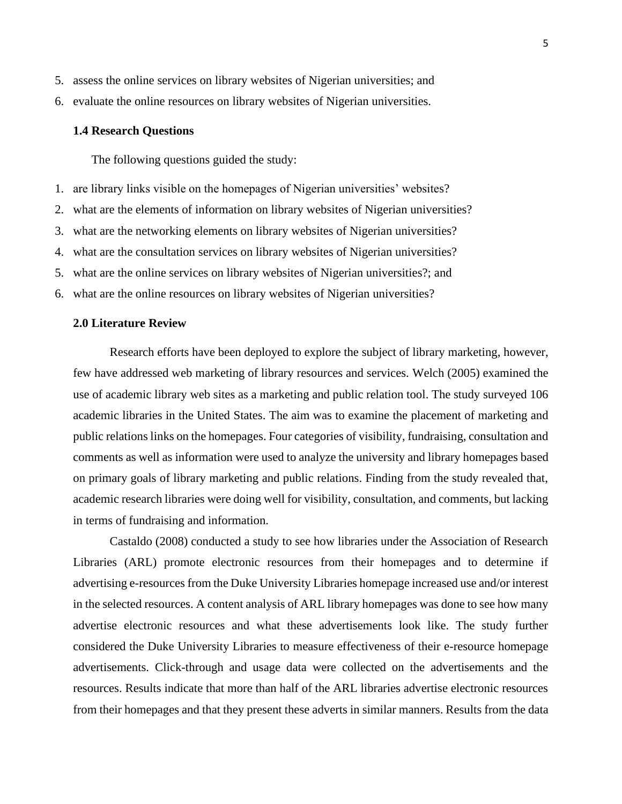- 5. assess the online services on library websites of Nigerian universities; and
- 6. evaluate the online resources on library websites of Nigerian universities.

#### **1.4 Research Questions**

The following questions guided the study:

- 1. are library links visible on the homepages of Nigerian universities' websites?
- 2. what are the elements of information on library websites of Nigerian universities?
- 3. what are the networking elements on library websites of Nigerian universities?
- 4. what are the consultation services on library websites of Nigerian universities?
- 5. what are the online services on library websites of Nigerian universities?; and
- 6. what are the online resources on library websites of Nigerian universities?

# **2.0 Literature Review**

Research efforts have been deployed to explore the subject of library marketing, however, few have addressed web marketing of library resources and services. Welch (2005) examined the use of academic library web sites as a marketing and public relation tool. The study surveyed 106 academic libraries in the United States. The aim was to examine the placement of marketing and public relations links on the homepages. Four categories of visibility, fundraising, consultation and comments as well as information were used to analyze the university and library homepages based on primary goals of library marketing and public relations. Finding from the study revealed that, academic research libraries were doing well for visibility, consultation, and comments, but lacking in terms of fundraising and information.

Castaldo (2008) conducted a study to see how libraries under the Association of Research Libraries (ARL) promote electronic resources from their homepages and to determine if advertising e-resources from the Duke University Libraries homepage increased use and/or interest in the selected resources. A content analysis of ARL library homepages was done to see how many advertise electronic resources and what these advertisements look like. The study further considered the Duke University Libraries to measure effectiveness of their e-resource homepage advertisements. Click-through and usage data were collected on the advertisements and the resources. Results indicate that more than half of the ARL libraries advertise electronic resources from their homepages and that they present these adverts in similar manners. Results from the data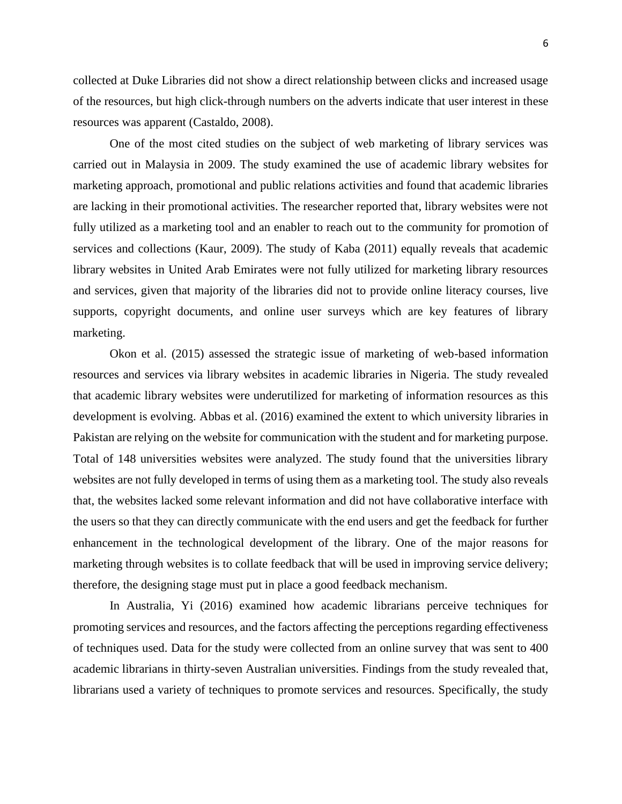collected at Duke Libraries did not show a direct relationship between clicks and increased usage of the resources, but high click-through numbers on the adverts indicate that user interest in these resources was apparent (Castaldo, 2008).

One of the most cited studies on the subject of web marketing of library services was carried out in Malaysia in 2009. The study examined the use of academic library websites for marketing approach, promotional and public relations activities and found that academic libraries are lacking in their promotional activities. The researcher reported that, library websites were not fully utilized as a marketing tool and an enabler to reach out to the community for promotion of services and collections (Kaur, 2009). The study of Kaba (2011) equally reveals that academic library websites in United Arab Emirates were not fully utilized for marketing library resources and services, given that majority of the libraries did not to provide online literacy courses, live supports, copyright documents, and online user surveys which are key features of library marketing.

Okon et al. (2015) assessed the strategic issue of marketing of web-based information resources and services via library websites in academic libraries in Nigeria. The study revealed that academic library websites were underutilized for marketing of information resources as this development is evolving. Abbas et al. (2016) examined the extent to which university libraries in Pakistan are relying on the website for communication with the student and for marketing purpose. Total of 148 universities websites were analyzed. The study found that the universities library websites are not fully developed in terms of using them as a marketing tool. The study also reveals that, the websites lacked some relevant information and did not have collaborative interface with the users so that they can directly communicate with the end users and get the feedback for further enhancement in the technological development of the library. One of the major reasons for marketing through websites is to collate feedback that will be used in improving service delivery; therefore, the designing stage must put in place a good feedback mechanism.

In Australia, Yi (2016) examined how academic librarians perceive techniques for promoting services and resources, and the factors affecting the perceptions regarding effectiveness of techniques used. Data for the study were collected from an online survey that was sent to 400 academic librarians in thirty-seven Australian universities. Findings from the study revealed that, librarians used a variety of techniques to promote services and resources. Specifically, the study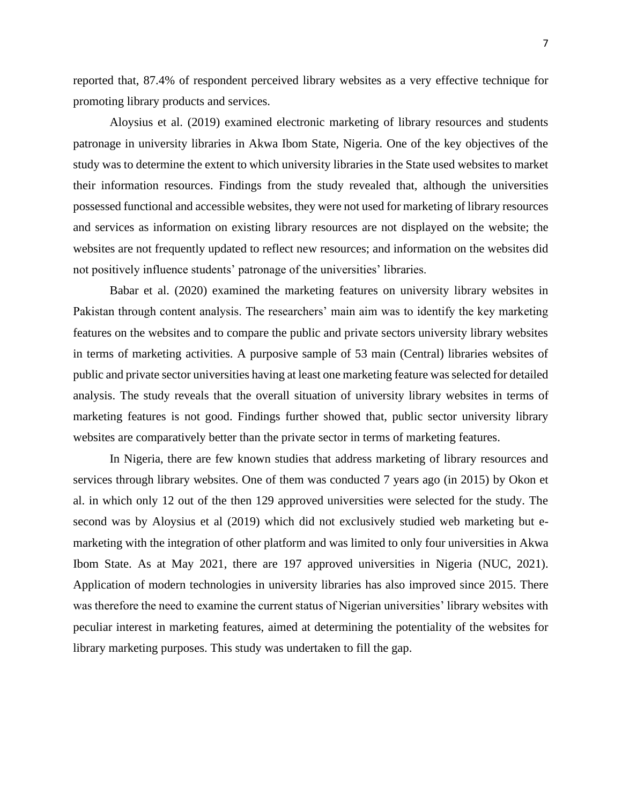reported that, 87.4% of respondent perceived library websites as a very effective technique for promoting library products and services.

Aloysius et al. (2019) examined electronic marketing of library resources and students patronage in university libraries in Akwa Ibom State, Nigeria. One of the key objectives of the study was to determine the extent to which university libraries in the State used websites to market their information resources. Findings from the study revealed that, although the universities possessed functional and accessible websites, they were not used for marketing of library resources and services as information on existing library resources are not displayed on the website; the websites are not frequently updated to reflect new resources; and information on the websites did not positively influence students' patronage of the universities' libraries.

Babar et al. (2020) examined the marketing features on university library websites in Pakistan through content analysis. The researchers' main aim was to identify the key marketing features on the websites and to compare the public and private sectors university library websites in terms of marketing activities. A purposive sample of 53 main (Central) libraries websites of public and private sector universities having at least one marketing feature was selected for detailed analysis. The study reveals that the overall situation of university library websites in terms of marketing features is not good. Findings further showed that, public sector university library websites are comparatively better than the private sector in terms of marketing features.

In Nigeria, there are few known studies that address marketing of library resources and services through library websites. One of them was conducted 7 years ago (in 2015) by Okon et al. in which only 12 out of the then 129 approved universities were selected for the study. The second was by Aloysius et al (2019) which did not exclusively studied web marketing but emarketing with the integration of other platform and was limited to only four universities in Akwa Ibom State. As at May 2021, there are 197 approved universities in Nigeria (NUC, 2021). Application of modern technologies in university libraries has also improved since 2015. There was therefore the need to examine the current status of Nigerian universities' library websites with peculiar interest in marketing features, aimed at determining the potentiality of the websites for library marketing purposes. This study was undertaken to fill the gap.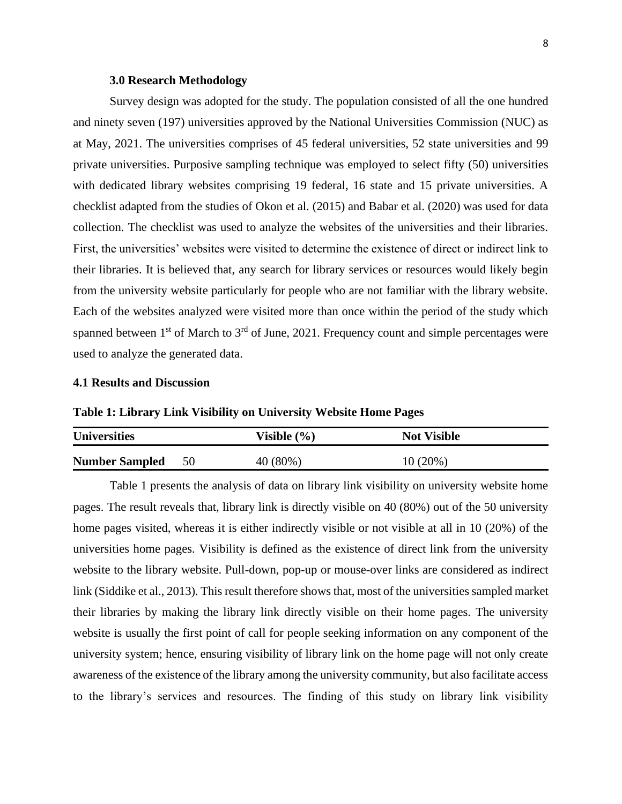#### **3.0 Research Methodology**

Survey design was adopted for the study. The population consisted of all the one hundred and ninety seven (197) universities approved by the National Universities Commission (NUC) as at May, 2021. The universities comprises of 45 federal universities, 52 state universities and 99 private universities. Purposive sampling technique was employed to select fifty (50) universities with dedicated library websites comprising 19 federal, 16 state and 15 private universities. A checklist adapted from the studies of Okon et al. (2015) and Babar et al. (2020) was used for data collection. The checklist was used to analyze the websites of the universities and their libraries. First, the universities' websites were visited to determine the existence of direct or indirect link to their libraries. It is believed that, any search for library services or resources would likely begin from the university website particularly for people who are not familiar with the library website. Each of the websites analyzed were visited more than once within the period of the study which spanned between  $1<sup>st</sup>$  of March to  $3<sup>rd</sup>$  of June, 2021. Frequency count and simple percentages were used to analyze the generated data.

## **4.1 Results and Discussion**

# **Table 1: Library Link Visibility on University Website Home Pages**

| <b>Universities</b>   |    | Visible (%) | <b>Not Visible</b> |  |  |
|-----------------------|----|-------------|--------------------|--|--|
| <b>Number Sampled</b> | 50 | 40 (80%)    | 10(20%)            |  |  |

Table 1 presents the analysis of data on library link visibility on university website home pages. The result reveals that, library link is directly visible on 40 (80%) out of the 50 university home pages visited, whereas it is either indirectly visible or not visible at all in 10 (20%) of the universities home pages. Visibility is defined as the existence of direct link from the university website to the library website. Pull-down, pop-up or mouse-over links are considered as indirect link (Siddike et al., 2013). This result therefore shows that, most of the universities sampled market their libraries by making the library link directly visible on their home pages. The university website is usually the first point of call for people seeking information on any component of the university system; hence, ensuring visibility of library link on the home page will not only create awareness of the existence of the library among the university community, but also facilitate access to the library's services and resources. The finding of this study on library link visibility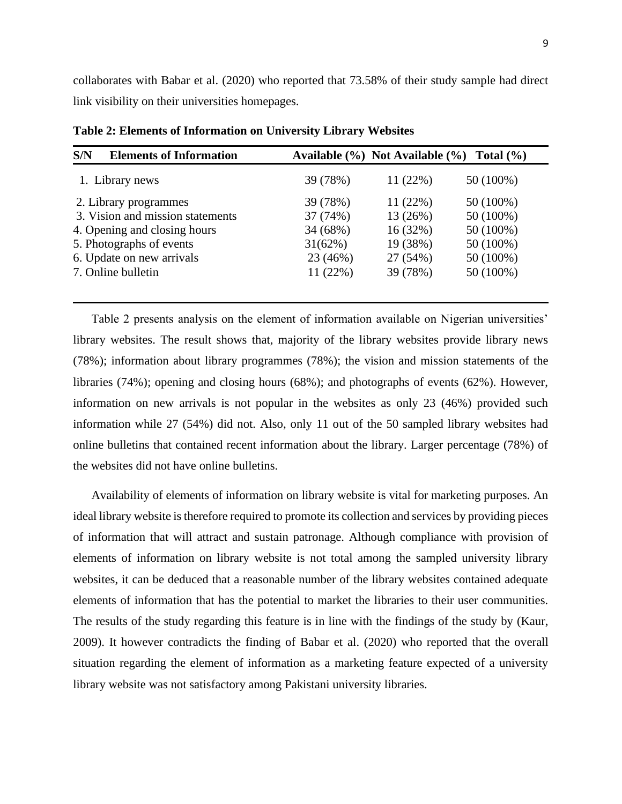collaborates with Babar et al. (2020) who reported that 73.58% of their study sample had direct link visibility on their universities homepages.

| S/N<br><b>Elements of Information</b> |          |          | Available $(\% )$ Not Available $(\% )$ Total $(\% )$ |
|---------------------------------------|----------|----------|-------------------------------------------------------|
| 1. Library news                       | 39 (78%) | 11(22%)  | 50 (100%)                                             |
| 2. Library programmes                 | 39 (78%) | 11(22%)  | 50 (100%)                                             |
| 3. Vision and mission statements      | 37 (74%) | 13 (26%) | 50 (100%)                                             |
| 4. Opening and closing hours          | 34 (68%) | 16(32%)  | 50 (100%)                                             |
| 5. Photographs of events              | 31(62%)  | 19 (38%) | 50 (100%)                                             |
| 6. Update on new arrivals             | 23 (46%) | 27 (54%) | 50 (100%)                                             |
| 7. Online bulletin                    | 11(22%)  | 39 (78%) | 50 (100%)                                             |
|                                       |          |          |                                                       |

**Table 2: Elements of Information on University Library Websites**

Table 2 presents analysis on the element of information available on Nigerian universities' library websites. The result shows that, majority of the library websites provide library news (78%); information about library programmes (78%); the vision and mission statements of the libraries (74%); opening and closing hours (68%); and photographs of events (62%). However, information on new arrivals is not popular in the websites as only 23 (46%) provided such information while 27 (54%) did not. Also, only 11 out of the 50 sampled library websites had online bulletins that contained recent information about the library. Larger percentage (78%) of the websites did not have online bulletins.

Availability of elements of information on library website is vital for marketing purposes. An ideal library website is therefore required to promote its collection and services by providing pieces of information that will attract and sustain patronage. Although compliance with provision of elements of information on library website is not total among the sampled university library websites, it can be deduced that a reasonable number of the library websites contained adequate elements of information that has the potential to market the libraries to their user communities. The results of the study regarding this feature is in line with the findings of the study by (Kaur, 2009). It however contradicts the finding of Babar et al. (2020) who reported that the overall situation regarding the element of information as a marketing feature expected of a university library website was not satisfactory among Pakistani university libraries.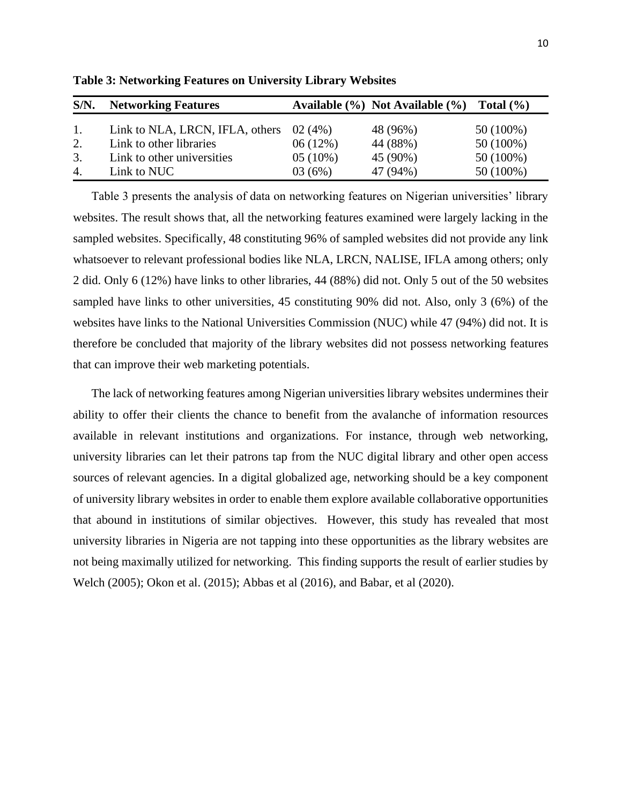| $S/N$ .        | <b>Networking Features</b>      |            | Available (%) Not Available (%) Total (%) |             |
|----------------|---------------------------------|------------|-------------------------------------------|-------------|
| $\mathbf{1}$ . | Link to NLA, LRCN, IFLA, others | 02(4%)     | 48 (96%)                                  | $50(100\%)$ |
| 2.             | Link to other libraries         | 06(12%)    | 44 (88%)                                  | $50(100\%)$ |
| 3.             | Link to other universities      | $05(10\%)$ | 45 (90%)                                  | $50(100\%)$ |
| 4.             | Link to NUC                     | 03(6%)     | 47 (94%)                                  | $50(100\%)$ |

**Table 3: Networking Features on University Library Websites**

Table 3 presents the analysis of data on networking features on Nigerian universities' library websites. The result shows that, all the networking features examined were largely lacking in the sampled websites. Specifically, 48 constituting 96% of sampled websites did not provide any link whatsoever to relevant professional bodies like NLA, LRCN, NALISE, IFLA among others; only 2 did. Only 6 (12%) have links to other libraries, 44 (88%) did not. Only 5 out of the 50 websites sampled have links to other universities, 45 constituting 90% did not. Also, only 3 (6%) of the websites have links to the National Universities Commission (NUC) while 47 (94%) did not. It is therefore be concluded that majority of the library websites did not possess networking features that can improve their web marketing potentials.

The lack of networking features among Nigerian universities library websites undermines their ability to offer their clients the chance to benefit from the avalanche of information resources available in relevant institutions and organizations. For instance, through web networking, university libraries can let their patrons tap from the NUC digital library and other open access sources of relevant agencies. In a digital globalized age, networking should be a key component of university library websites in order to enable them explore available collaborative opportunities that abound in institutions of similar objectives. However, this study has revealed that most university libraries in Nigeria are not tapping into these opportunities as the library websites are not being maximally utilized for networking. This finding supports the result of earlier studies by Welch (2005); Okon et al. (2015); Abbas et al (2016), and Babar, et al (2020).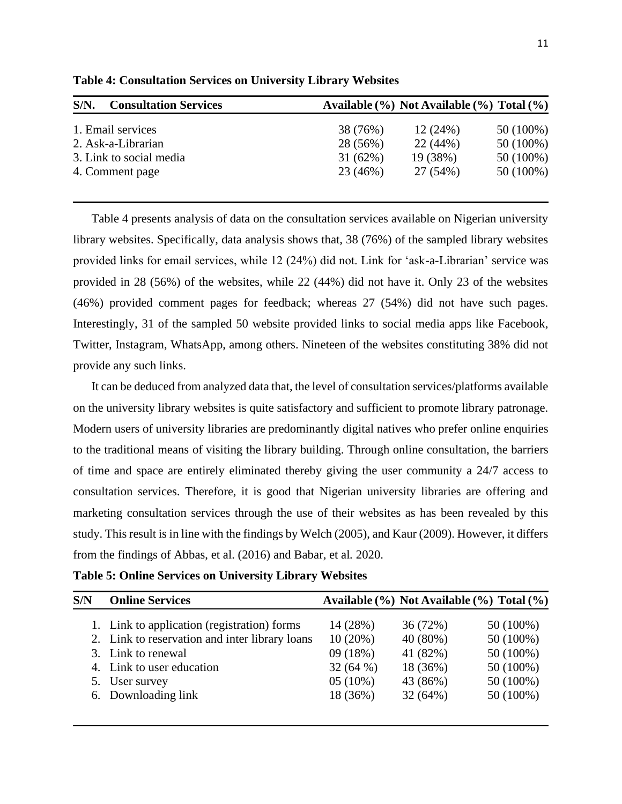| $S/N$ .<br><b>Consultation Services</b> | Available (%) Not Available (%) Total (%) |
|-----------------------------------------|-------------------------------------------|
| 1. Email services                       | 50 (100%)<br>12(24%)<br>38 (76%)          |
| 2. Ask-a-Librarian                      | 22(44%)<br>50 (100%)<br>28 (56%)          |
| 3. Link to social media                 | 31(62%)<br>19 (38%)<br>50 (100%)          |
| 4. Comment page                         | 50 (100%)<br>23 (46%)<br>27 (54%)         |
|                                         |                                           |

**Table 4: Consultation Services on University Library Websites** 

Table 4 presents analysis of data on the consultation services available on Nigerian university library websites. Specifically, data analysis shows that, 38 (76%) of the sampled library websites provided links for email services, while 12 (24%) did not. Link for 'ask-a-Librarian' service was provided in 28 (56%) of the websites, while 22 (44%) did not have it. Only 23 of the websites (46%) provided comment pages for feedback; whereas 27 (54%) did not have such pages. Interestingly, 31 of the sampled 50 website provided links to social media apps like Facebook, Twitter, Instagram, WhatsApp, among others. Nineteen of the websites constituting 38% did not provide any such links.

It can be deduced from analyzed data that, the level of consultation services/platforms available on the university library websites is quite satisfactory and sufficient to promote library patronage. Modern users of university libraries are predominantly digital natives who prefer online enquiries to the traditional means of visiting the library building. Through online consultation, the barriers of time and space are entirely eliminated thereby giving the user community a 24/7 access to consultation services. Therefore, it is good that Nigerian university libraries are offering and marketing consultation services through the use of their websites as has been revealed by this study. This result is in line with the findings by Welch (2005), and Kaur (2009). However, it differs from the findings of Abbas, et al. (2016) and Babar, et al*.* 2020.

| S/N | <b>Online Services</b>                         | Available (%) Not Available (%) Total (%) |          |             |
|-----|------------------------------------------------|-------------------------------------------|----------|-------------|
|     | 1. Link to application (registration) forms    | 14 (28%)                                  | 36 (72%) | $50(100\%)$ |
|     | 2. Link to reservation and inter library loans | $10(20\%)$                                | 40 (80%) | $50(100\%)$ |
|     | 3. Link to renewal                             | 09 (18%)                                  | 41 (82%) | $50(100\%)$ |
|     | 4. Link to user education                      | 32(64%)                                   | 18 (36%) | $50(100\%)$ |
|     | 5. User survey                                 | $05(10\%)$                                | 43 (86%) | $50(100\%)$ |
|     | 6. Downloading link                            | 18 (36%)                                  | 32(64%)  | $50(100\%)$ |

**Table 5: Online Services on University Library Websites**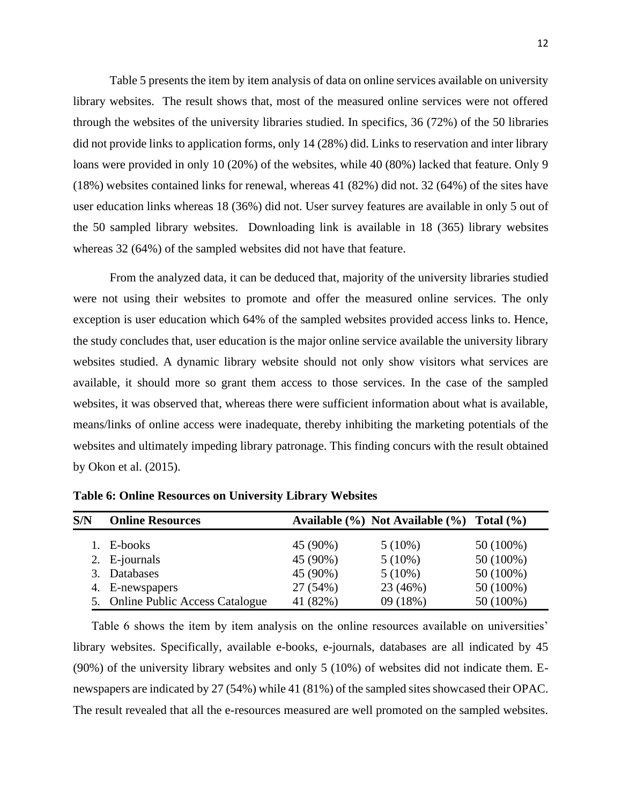Table 5 presents the item by item analysis of data on online services available on university library websites. The result shows that, most of the measured online services were not offered through the websites of the university libraries studied. In specifics, 36 (72%) of the 50 libraries did not provide links to application forms, only 14 (28%) did. Links to reservation and inter library loans were provided in only 10 (20%) of the websites, while 40 (80%) lacked that feature. Only 9 (18%) websites contained links for renewal, whereas 41 (82%) did not. 32 (64%) of the sites have user education links whereas 18 (36%) did not. User survey features are available in only 5 out of the 50 sampled library websites. Downloading link is available in 18 (365) library websites whereas 32 (64%) of the sampled websites did not have that feature.

From the analyzed data, it can be deduced that, majority of the university libraries studied were not using their websites to promote and offer the measured online services. The only exception is user education which 64% of the sampled websites provided access links to. Hence, the study concludes that, user education is the major online service available the university library websites studied. A dynamic library website should not only show visitors what services are available, it should more so grant them access to those services. In the case of the sampled websites, it was observed that, whereas there were sufficient information about what is available, means/links of online access were inadequate, thereby inhibiting the marketing potentials of the websites and ultimately impeding library patronage. This finding concurs with the result obtained by Okon et al. (2015).

| S/N | <b>Online Resources</b>           |          | Available $(\% )$ Not Available $(\% )$ Total $(\% )$ |             |
|-----|-----------------------------------|----------|-------------------------------------------------------|-------------|
|     | 1. E-books                        | 45 (90%) | $5(10\%)$                                             | $50(100\%)$ |
|     | 2. E-journals                     | 45 (90%) | $5(10\%)$                                             | $50(100\%)$ |
|     | 3. Databases                      | 45 (90%) | $5(10\%)$                                             | $50(100\%)$ |
|     | 4. E-newspapers                   | 27 (54%) | 23 (46%)                                              | $50(100\%)$ |
|     | 5. Online Public Access Catalogue | 41 (82%) | 09(18%)                                               | $50(100\%)$ |

**Table 6: Online Resources on University Library Websites**

Table 6 shows the item by item analysis on the online resources available on universities' library websites. Specifically, available e-books, e-journals, databases are all indicated by 45 (90%) of the university library websites and only 5 (10%) of websites did not indicate them. Enewspapers are indicated by 27 (54%) while 41 (81%) of the sampled sites showcased their OPAC. The result revealed that all the e-resources measured are well promoted on the sampled websites.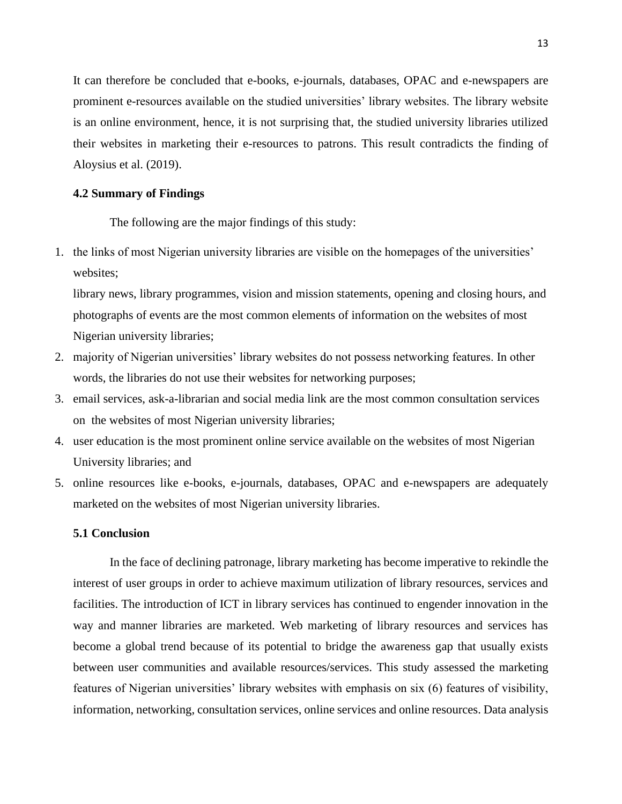It can therefore be concluded that e-books, e-journals, databases, OPAC and e-newspapers are prominent e-resources available on the studied universities' library websites. The library website is an online environment, hence, it is not surprising that, the studied university libraries utilized their websites in marketing their e-resources to patrons. This result contradicts the finding of Aloysius et al. (2019).

#### **4.2 Summary of Findings**

The following are the major findings of this study:

1. the links of most Nigerian university libraries are visible on the homepages of the universities' websites;

library news, library programmes, vision and mission statements, opening and closing hours, and photographs of events are the most common elements of information on the websites of most Nigerian university libraries;

- 2. majority of Nigerian universities' library websites do not possess networking features. In other words, the libraries do not use their websites for networking purposes;
- 3. email services, ask-a-librarian and social media link are the most common consultation services on the websites of most Nigerian university libraries;
- 4. user education is the most prominent online service available on the websites of most Nigerian University libraries; and
- 5. online resources like e-books, e-journals, databases, OPAC and e-newspapers are adequately marketed on the websites of most Nigerian university libraries.

#### **5.1 Conclusion**

In the face of declining patronage, library marketing has become imperative to rekindle the interest of user groups in order to achieve maximum utilization of library resources, services and facilities. The introduction of ICT in library services has continued to engender innovation in the way and manner libraries are marketed. Web marketing of library resources and services has become a global trend because of its potential to bridge the awareness gap that usually exists between user communities and available resources/services. This study assessed the marketing features of Nigerian universities' library websites with emphasis on six (6) features of visibility, information, networking, consultation services, online services and online resources. Data analysis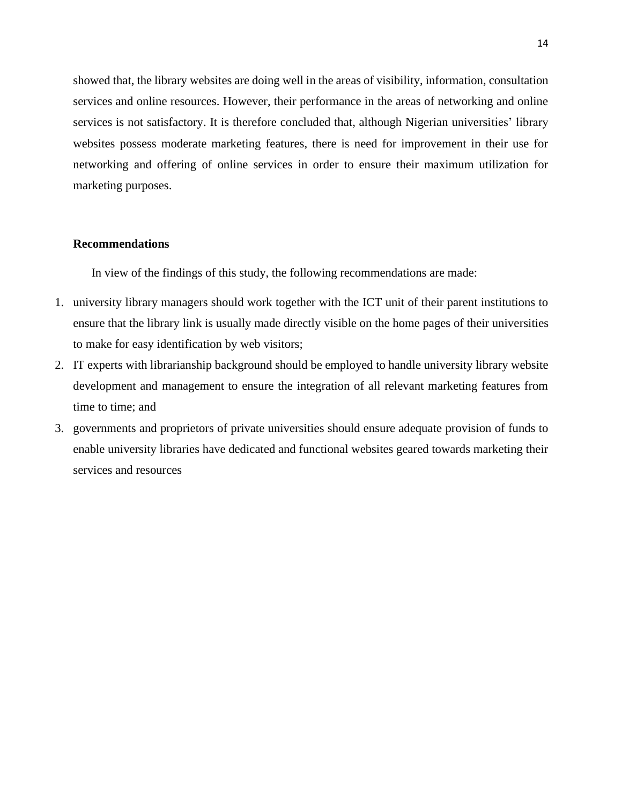showed that, the library websites are doing well in the areas of visibility, information, consultation services and online resources. However, their performance in the areas of networking and online services is not satisfactory. It is therefore concluded that, although Nigerian universities' library websites possess moderate marketing features, there is need for improvement in their use for networking and offering of online services in order to ensure their maximum utilization for marketing purposes.

#### **Recommendations**

In view of the findings of this study, the following recommendations are made:

- 1. university library managers should work together with the ICT unit of their parent institutions to ensure that the library link is usually made directly visible on the home pages of their universities to make for easy identification by web visitors;
- 2. IT experts with librarianship background should be employed to handle university library website development and management to ensure the integration of all relevant marketing features from time to time; and
- 3. governments and proprietors of private universities should ensure adequate provision of funds to enable university libraries have dedicated and functional websites geared towards marketing their services and resources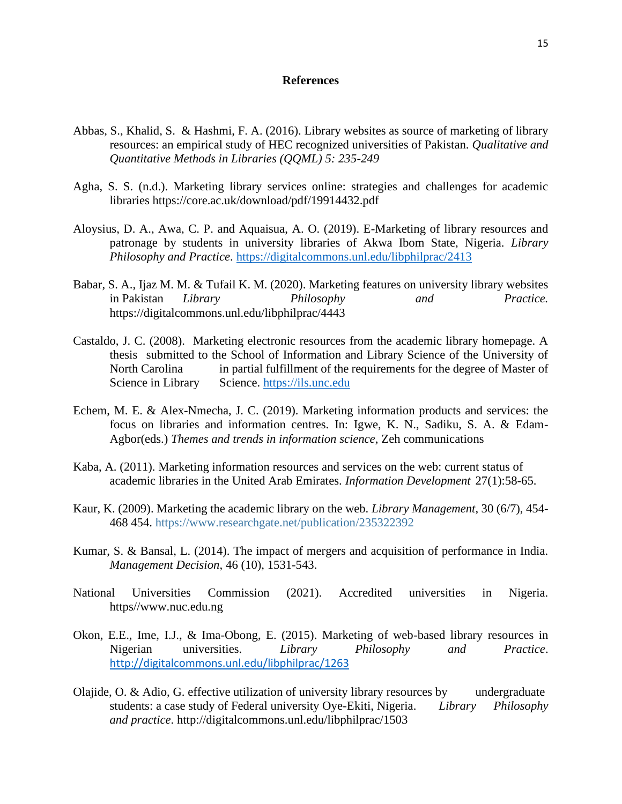#### **References**

- Abbas, S., Khalid, S. & Hashmi, F. A. (2016). Library websites as source of marketing of library resources: an empirical study of HEC recognized universities of Pakistan. *Qualitative and Quantitative Methods in Libraries (QQML) 5: 235-249*
- Agha, S. S. (n.d.). Marketing library services online: strategies and challenges for academic libraries https://core.ac.uk/download/pdf/19914432.pdf
- Aloysius, D. A., Awa, C. P. and Aquaisua, A. O. (2019). E-Marketing of library resources and patronage by students in university libraries of Akwa Ibom State, Nigeria. *Library Philosophy and Practice*.<https://digitalcommons.unl.edu/libphilprac/2413>
- Babar, S. A., Ijaz M. M. & Tufail K. M. (2020). Marketing features on university library websites in Pakistan *Library Philosophy and Practice.* https://digitalcommons.unl.edu/libphilprac/4443
- Castaldo, J. C. (2008). Marketing electronic resources from the academic library homepage. A thesis submitted to the School of Information and Library Science of the University of North Carolina in partial fulfillment of the requirements for the degree of Master of Science in Library Science. [https://ils.unc.edu](https://ils.unc.edu/)
- Echem, M. E. & Alex-Nmecha, J. C. (2019). Marketing information products and services: the focus on libraries and information centres. In: Igwe, K. N., Sadiku, S. A. & Edam-Agbor(eds.) *Themes and trends in information science*, Zeh communications
- Kaba, A. (2011). Marketing information resources and services on the web: current status of academic libraries in the United Arab Emirates. *Information Development* 27(1):58-65.
- Kaur, K. (2009). Marketing the academic library on the web. *Library Management*, 30 (6/7), 454- 468 454. https://www.researchgate.net/publication/235322392
- Kumar, S. & Bansal, L. (2014). The impact of mergers and acquisition of performance in India. *Management Decision*, 46 (10), 1531-543.
- National Universities Commission (2021). Accredited universities in Nigeria. https//www.nuc.edu.ng
- Okon, E.E., Ime, I.J., & Ima-Obong, E. (2015). Marketing of web-based library resources in Nigerian universities. *Library Philosophy and Practice*. <http://digitalcommons.unl.edu/libphilprac/1263>
- Olajide, O. & Adio, G. effective utilization of university library resources by undergraduate students: a case study of Federal university Oye-Ekiti, Nigeria. *Library Philosophy and practice*. http://digitalcommons.unl.edu/libphilprac/1503